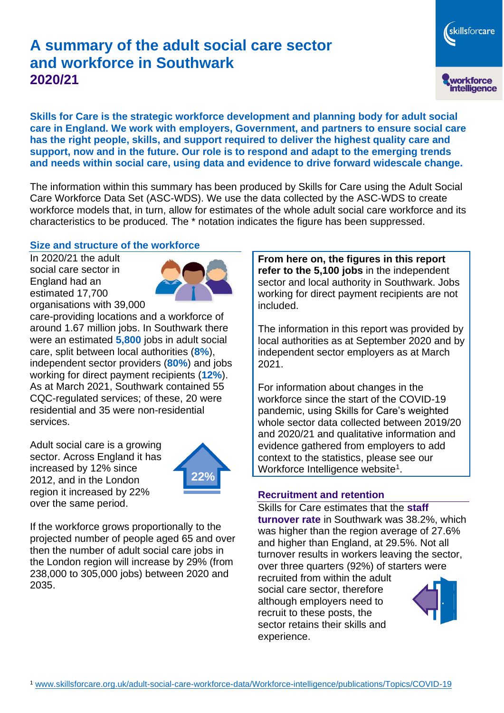# **A summary of the adult social care sector and workforce in Southwark 2020/21**

workforce<br>intelligence

skillsforcare

**Skills for Care is the strategic workforce development and planning body for adult social care in England. We work with employers, Government, and partners to ensure social care has the right people, skills, and support required to deliver the highest quality care and support, now and in the future. Our role is to respond and adapt to the emerging trends and needs within social care, using data and evidence to drive forward widescale change.**

The information within this summary has been produced by Skills for Care using the Adult Social Care Workforce Data Set (ASC-WDS). We use the data collected by the ASC-WDS to create workforce models that, in turn, allow for estimates of the whole adult social care workforce and its characteristics to be produced. The \* notation indicates the figure has been suppressed.

## **Size and structure of the workforce**

In 2020/21 the adult social care sector in England had an estimated 17,700 organisations with 39,000



care-providing locations and a workforce of around 1.67 million jobs. In Southwark there were an estimated **5,800** jobs in adult social care, split between local authorities (**8%**), independent sector providers (**80%**) and jobs working for direct payment recipients (**12%**). As at March 2021, Southwark contained 55 CQC-regulated services; of these, 20 were residential and 35 were non-residential services.

Adult social care is a growing sector. Across England it has increased by 12% since 2012, and in the London region it increased by 22% over the same period.



If the workforce grows proportionally to the projected number of people aged 65 and over then the number of adult social care jobs in the London region will increase by 29% (from 238,000 to 305,000 jobs) between 2020 and 2035.

**From here on, the figures in this report refer to the 5,100 jobs** in the independent sector and local authority in Southwark. Jobs working for direct payment recipients are not included.

The information in this report was provided by local authorities as at September 2020 and by independent sector employers as at March 2021.

For information about changes in the workforce since the start of the COVID-19 pandemic, using Skills for Care's weighted whole sector data collected between 2019/20 and 2020/21 and qualitative information and evidence gathered from employers to add context to the statistics, please see our Workforce Intelligence website<sup>1</sup>.

#### **Recruitment and retention**

Skills for Care estimates that the **staff turnover rate** in Southwark was 38.2%, which was higher than the region average of 27.6% and higher than England, at 29.5%. Not all turnover results in workers leaving the sector, over three quarters (92%) of starters were

recruited from within the adult social care sector, therefore although employers need to recruit to these posts, the sector retains their skills and experience.

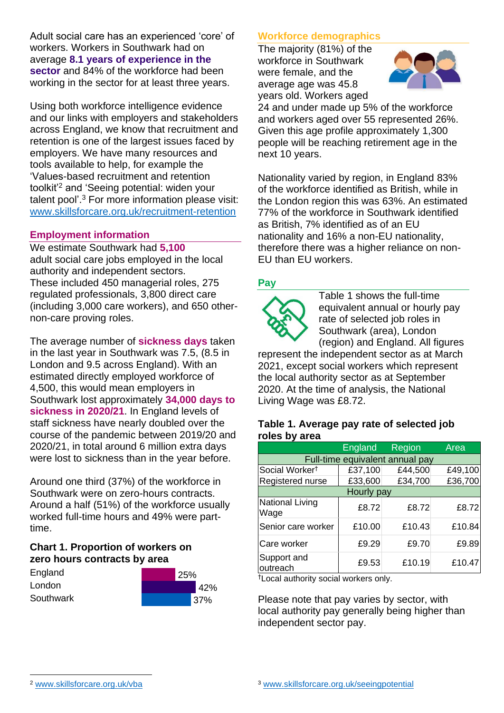Adult social care has an experienced 'core' of workers. Workers in Southwark had on average **8.1 years of experience in the sector** and 84% of the workforce had been working in the sector for at least three years.

Using both workforce intelligence evidence and our links with employers and stakeholders across England, we know that recruitment and retention is one of the largest issues faced by employers. We have many resources and tools available to help, for example the 'Values-based recruitment and retention toolkit'<sup>2</sup> and 'Seeing potential: widen your talent pool'. <sup>3</sup> For more information please visit: [www.skillsforcare.org.uk/recruitment-retention](http://www.skillsforcare.org.uk/recruitment-retention)

#### **Employment information**

We estimate Southwark had **5,100** adult social care jobs employed in the local authority and independent sectors. These included 450 managerial roles, 275 regulated professionals, 3,800 direct care (including 3,000 care workers), and 650 othernon-care proving roles.

The average number of **sickness days** taken in the last year in Southwark was 7.5, (8.5 in London and 9.5 across England). With an estimated directly employed workforce of 4,500, this would mean employers in Southwark lost approximately **34,000 days to sickness in 2020/21**. In England levels of staff sickness have nearly doubled over the course of the pandemic between 2019/20 and 2020/21, in total around 6 million extra days were lost to sickness than in the year before.

Around one third (37%) of the workforce in Southwark were on zero-hours contracts. Around a half (51%) of the workforce usually worked full-time hours and 49% were parttime.

# **Chart 1. Proportion of workers on zero hours contracts by area**

| England   | 25% |         |
|-----------|-----|---------|
| London    |     | $'42\%$ |
| Southwark |     | 37%     |

# **Workforce demographics**

The majority (81%) of the workforce in Southwark were female, and the average age was 45.8 years old. Workers aged



24 and under made up 5% of the workforce and workers aged over 55 represented 26%. Given this age profile approximately 1,300 people will be reaching retirement age in the next 10 years.

Nationality varied by region, in England 83% of the workforce identified as British, while in the London region this was 63%. An estimated 77% of the workforce in Southwark identified as British, 7% identified as of an EU nationality and 16% a non-EU nationality, therefore there was a higher reliance on non-EU than EU workers.

# **Pay**



Table 1 shows the full-time equivalent annual or hourly pay rate of selected job roles in Southwark (area), London (region) and England. All figures

represent the independent sector as at March 2021, except social workers which represent the local authority sector as at September 2020. At the time of analysis, the National Living Wage was £8.72.

#### **Table 1. Average pay rate of selected job roles by area**

|                                 | <b>England</b> | Region  | Area    |  |  |
|---------------------------------|----------------|---------|---------|--|--|
| Full-time equivalent annual pay |                |         |         |  |  |
| Social Worker <sup>t</sup>      | £37,100        | £44,500 | £49,100 |  |  |
| Registered nurse                | £33,600        | £34,700 | £36,700 |  |  |
| Hourly pay                      |                |         |         |  |  |
| National Living<br>Wage         | £8.72          | £8.72   | £8.72   |  |  |
| Senior care worker              | £10.00         | £10.43  | £10.84  |  |  |
| Care worker                     | £9.29          | £9.70   | £9.89   |  |  |
| Support and<br>outreach         | £9.53          | £10.19  | £10.47  |  |  |

†Local authority social workers only.

Please note that pay varies by sector, with local authority pay generally being higher than independent sector pay.